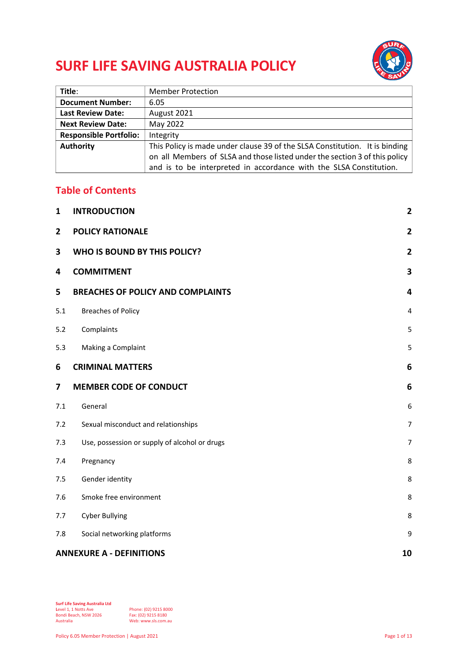# **SURF LIFE SAVING AUSTRALIA POLICY**



| Title:                        | <b>Member Protection</b>                                                    |
|-------------------------------|-----------------------------------------------------------------------------|
| <b>Document Number:</b>       | 6.05                                                                        |
| <b>Last Review Date:</b>      | August 2021                                                                 |
| <b>Next Review Date:</b>      | May 2022                                                                    |
| <b>Responsible Portfolio:</b> | Integrity                                                                   |
| <b>Authority</b>              | This Policy is made under clause 39 of the SLSA Constitution. It is binding |
|                               | on all Members of SLSA and those listed under the section 3 of this policy  |
|                               | and is to be interpreted in accordance with the SLSA Constitution.          |

## **Table of Contents**

| 1              | <b>INTRODUCTION</b>                           | $\mathbf{2}$   |
|----------------|-----------------------------------------------|----------------|
| $\overline{2}$ | <b>POLICY RATIONALE</b>                       | $\overline{2}$ |
| 3              | WHO IS BOUND BY THIS POLICY?                  | $\overline{2}$ |
| 4              | <b>COMMITMENT</b>                             | 3              |
| 5              | <b>BREACHES OF POLICY AND COMPLAINTS</b>      | 4              |
| 5.1            | <b>Breaches of Policy</b>                     | $\overline{a}$ |
| 5.2            | Complaints                                    | 5              |
| 5.3            | Making a Complaint                            | 5              |
| 6              | <b>CRIMINAL MATTERS</b>                       | 6              |
| 7              | <b>MEMBER CODE OF CONDUCT</b>                 | 6              |
| 7.1            | General                                       | 6              |
| 7.2            | Sexual misconduct and relationships           | $\overline{7}$ |
| 7.3            | Use, possession or supply of alcohol or drugs | $\overline{7}$ |
| 7.4            | Pregnancy                                     | 8              |
| 7.5            | Gender identity                               | 8              |
| 7.6            | Smoke free environment                        | 8              |
| 7.7            | <b>Cyber Bullying</b>                         | 8              |
| 7.8            | Social networking platforms                   | 9              |
|                | <b>ANNEXURE A - DEFINITIONS</b><br>10         |                |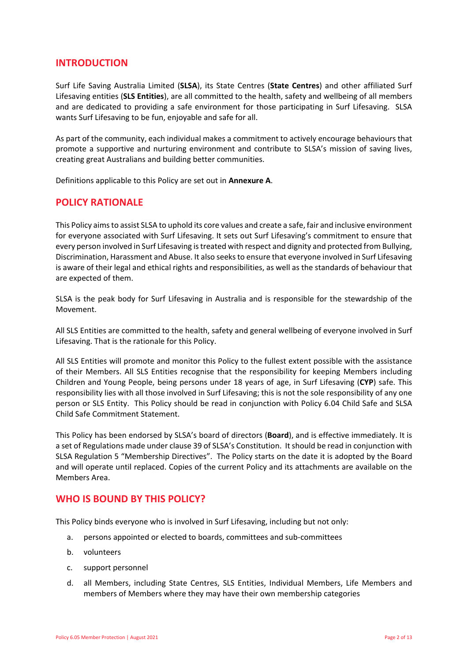## <span id="page-1-0"></span>**INTRODUCTION**

Surf Life Saving Australia Limited (**SLSA**), its State Centres (**State Centres**) and other affiliated Surf Lifesaving entities (**SLS Entities**), are all committed to the health, safety and wellbeing of all members and are dedicated to providing a safe environment for those participating in Surf Lifesaving. SLSA wants Surf Lifesaving to be fun, enjoyable and safe for all.

As part of the community, each individual makes a commitment to actively encourage behaviours that promote a supportive and nurturing environment and contribute to SLSA's mission of saving lives, creating great Australians and building better communities.

<span id="page-1-1"></span>Definitions applicable to this Policy are set out in **Annexure A**.

## **POLICY RATIONALE**

This Policy aims to assist SLSA to uphold its core values and create a safe, fair and inclusive environment for everyone associated with Surf Lifesaving. It sets out Surf Lifesaving's commitment to ensure that every person involved in Surf Lifesaving is treated with respect and dignity and protected from Bullying, Discrimination, Harassment and Abuse. It also seeks to ensure that everyone involved in Surf Lifesaving is aware of their legal and ethical rights and responsibilities, as well as the standards of behaviour that are expected of them.

SLSA is the peak body for Surf Lifesaving in Australia and is responsible for the stewardship of the Movement.

All SLS Entities are committed to the health, safety and general wellbeing of everyone involved in Surf Lifesaving. That is the rationale for this Policy.

All SLS Entities will promote and monitor this Policy to the fullest extent possible with the assistance of their Members. All SLS Entities recognise that the responsibility for keeping Members including Children and Young People, being persons under 18 years of age, in Surf Lifesaving (**CYP**) safe. This responsibility lies with all those involved in Surf Lifesaving; this is not the sole responsibility of any one person or SLS Entity. This Policy should be read in conjunction with Policy 6.04 Child Safe and SLSA Child Safe Commitment Statement.

This Policy has been endorsed by SLSA's board of directors (**Board**), and is effective immediately. It is a set of Regulations made under clause 39 of SLSA's Constitution. It should be read in conjunction with SLSA Regulation 5 "Membership Directives". The Policy starts on the date it is adopted by the Board and will operate until replaced. Copies of the current Policy and its attachments are available on the [Members Area.](http://members.sls.com.au/)

## <span id="page-1-2"></span>**WHO IS BOUND BY THIS POLICY?**

This Policy binds everyone who is involved in Surf Lifesaving, including but not only:

- a. persons appointed or elected to boards, committees and sub-committees
- b. volunteers
- c. support personnel
- d. all Members, including State Centres, SLS Entities, Individual Members, Life Members and members of Members where they may have their own membership categories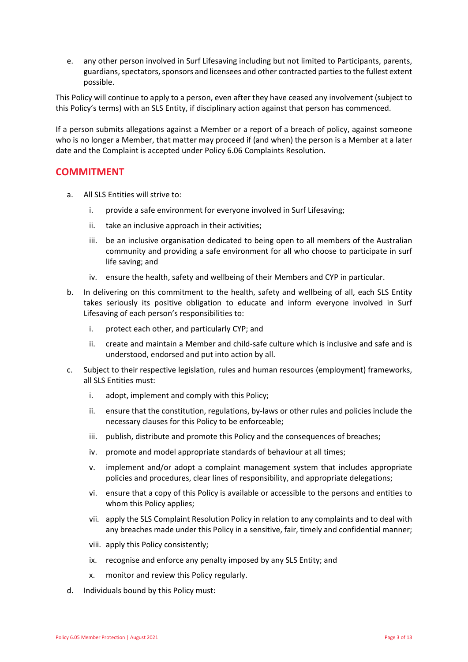e. any other person involved in Surf Lifesaving including but not limited to Participants, parents, guardians, spectators, sponsors and licensees and other contracted parties to the fullest extent possible.

This Policy will continue to apply to a person, even after they have ceased any involvement (subject to this Policy's terms) with an SLS Entity, if disciplinary action against that person has commenced.

If a person submits allegations against a Member or a report of a breach of policy, against someone who is no longer a Member, that matter may proceed if (and when) the person is a Member at a later date and the Complaint is accepted under Policy 6.06 Complaints Resolution.

## <span id="page-2-0"></span>**COMMITMENT**

- a. All SLS Entities will strive to:
	- i. provide a safe environment for everyone involved in Surf Lifesaving;
	- ii. take an inclusive approach in their activities;
	- iii. be an inclusive organisation dedicated to being open to all members of the Australian community and providing a safe environment for all who choose to participate in surf life saving; and
	- iv. ensure the health, safety and wellbeing of their Members and CYP in particular.
- b. In delivering on this commitment to the health, safety and wellbeing of all, each SLS Entity takes seriously its positive obligation to educate and inform everyone involved in Surf Lifesaving of each person's responsibilities to:
	- i. protect each other, and particularly CYP; and
	- ii. create and maintain a Member and child-safe culture which is inclusive and safe and is understood, endorsed and put into action by all.
- c. Subject to their respective legislation, rules and human resources (employment) frameworks, all SLS Entities must:
	- i. adopt, implement and comply with this Policy;
	- ii. ensure that the constitution, regulations, by-laws or other rules and policies include the necessary clauses for this Policy to be enforceable;
	- iii. publish, distribute and promote this Policy and the consequences of breaches;
	- iv. promote and model appropriate standards of behaviour at all times;
	- v. implement and/or adopt a complaint management system that includes appropriate policies and procedures, clear lines of responsibility, and appropriate delegations;
	- vi. ensure that a copy of this Policy is available or accessible to the persons and entities to whom this Policy applies;
	- vii. apply the SLS Complaint Resolution Policy in relation to any complaints and to deal with any breaches made under this Policy in a sensitive, fair, timely and confidential manner;
	- viii. apply this Policy consistently;
	- ix. recognise and enforce any penalty imposed by any SLS Entity; and
	- x. monitor and review this Policy regularly.
- d. Individuals bound by this Policy must: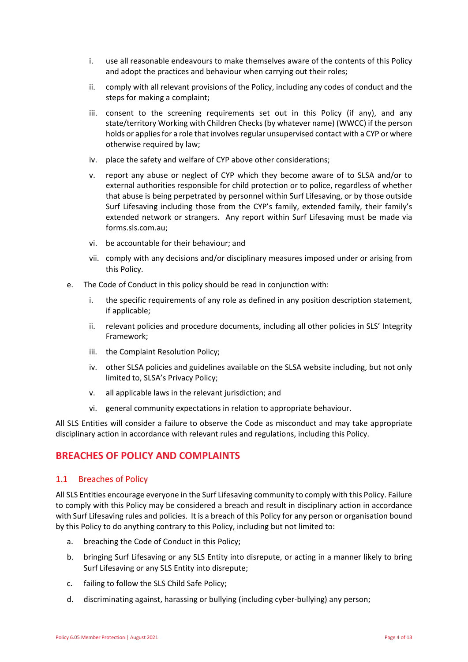- i. use all reasonable endeavours to make themselves aware of the contents of this Policy and adopt the practices and behaviour when carrying out their roles;
- ii. comply with all relevant provisions of the Policy, including any codes of conduct and the steps for making a complaint;
- iii. consent to the screening requirements set out in this Policy (if any), and any state/territory Working with Children Checks (by whatever name) (WWCC) if the person holds or applies for a role that involves regular unsupervised contact with a CYP or where otherwise required by law;
- iv. place the safety and welfare of CYP above other considerations;
- v. report any abuse or neglect of CYP which they become aware of to SLSA and/or to external authorities responsible for child protection or to police, regardless of whether that abuse is being perpetrated by personnel within Surf Lifesaving, or by those outside Surf Lifesaving including those from the CYP's family, extended family, their family's extended network or strangers. Any report within Surf Lifesaving must be made via forms.sls.com.au;
- vi. be accountable for their behaviour; and
- vii. comply with any decisions and/or disciplinary measures imposed under or arising from this Policy.
- e. The Code of Conduct in this policy should be read in conjunction with:
	- i. the specific requirements of any role as defined in any position description statement, if applicable;
	- ii. relevant policies and procedure documents, including all other policies in SLS' Integrity Framework;
	- iii. the Complaint Resolution Policy;
	- iv. other SLSA policies and guidelines available on the SLSA website including, but not only limited to, SLSA's Privacy Policy;
	- v. all applicable laws in the relevant jurisdiction; and
	- vi. general community expectations in relation to appropriate behaviour.

All SLS Entities will consider a failure to observe the Code as misconduct and may take appropriate disciplinary action in accordance with relevant rules and regulations, including this Policy.

## <span id="page-3-0"></span>**BREACHES OF POLICY AND COMPLAINTS**

#### <span id="page-3-1"></span>1.1 Breaches of Policy

All SLS Entities encourage everyone in the Surf Lifesaving community to comply with this Policy. Failure to comply with this Policy may be considered a breach and result in disciplinary action in accordance with Surf Lifesaving rules and policies. It is a breach of this Policy for any person or organisation bound by this Policy to do anything contrary to this Policy, including but not limited to:

- a. breaching the Code of Conduct in this Policy;
- b. bringing Surf Lifesaving or any SLS Entity into disrepute, or acting in a manner likely to bring Surf Lifesaving or any SLS Entity into disrepute;
- c. failing to follow the SLS Child Safe Policy;
- d. discriminating against, harassing or bullying (including cyber-bullying) any person;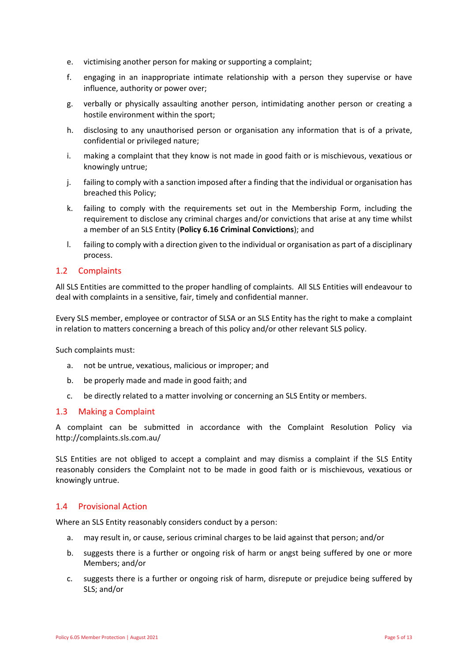- e. victimising another person for making or supporting a complaint;
- f. engaging in an inappropriate intimate relationship with a person they supervise or have influence, authority or power over;
- g. verbally or physically assaulting another person, intimidating another person or creating a hostile environment within the sport;
- h. disclosing to any unauthorised person or organisation any information that is of a private, confidential or privileged nature;
- i. making a complaint that they know is not made in good faith or is mischievous, vexatious or knowingly untrue;
- j. failing to comply with a sanction imposed after a finding that the individual or organisation has breached this Policy;
- k. failing to comply with the requirements set out in the Membership Form, including the requirement to disclose any criminal charges and/or convictions that arise at any time whilst a member of an SLS Entity (**Policy 6.16 Criminal Convictions**); and
- l. failing to comply with a direction given to the individual or organisation as part of a disciplinary process.

## <span id="page-4-0"></span>1.2 Complaints

All SLS Entities are committed to the proper handling of complaints. All SLS Entities will endeavour to deal with complaints in a sensitive, fair, timely and confidential manner.

Every SLS member, employee or contractor of SLSA or an SLS Entity has the right to make a complaint in relation to matters concerning a breach of this policy and/or other relevant SLS policy.

Such complaints must:

- a. not be untrue, vexatious, malicious or improper; and
- b. be properly made and made in good faith; and
- c. be directly related to a matter involving or concerning an SLS Entity or members.

#### <span id="page-4-1"></span>1.3 Making a Complaint

A complaint can be submitted in accordance with the Complaint Resolution Policy via <http://complaints.sls.com.au/>

SLS Entities are not obliged to accept a complaint and may dismiss a complaint if the SLS Entity reasonably considers the Complaint not to be made in good faith or is mischievous, vexatious or knowingly untrue.

#### 1.4 Provisional Action

Where an SLS Entity reasonably considers conduct by a person:

- a. may result in, or cause, serious criminal charges to be laid against that person; and/or
- b. suggests there is a further or ongoing risk of harm or angst being suffered by one or more Members; and/or
- c. suggests there is a further or ongoing risk of harm, disrepute or prejudice being suffered by SLS; and/or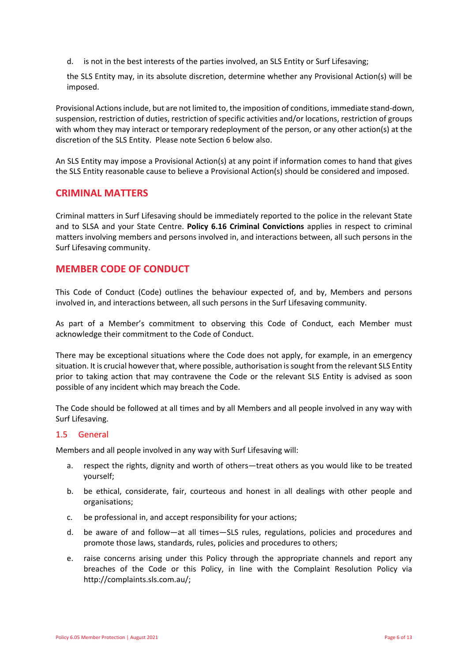d. is not in the best interests of the parties involved, an SLS Entity or Surf Lifesaving;

the SLS Entity may, in its absolute discretion, determine whether any Provisional Action(s) will be imposed.

Provisional Actions include, but are not limited to, the imposition of conditions, immediate stand-down, suspension, restriction of duties, restriction of specific activities and/or locations, restriction of groups with whom they may interact or temporary redeployment of the person, or any other action(s) at the discretion of the SLS Entity. Please note Section 6 below also.

An SLS Entity may impose a Provisional Action(s) at any point if information comes to hand that gives the SLS Entity reasonable cause to believe a Provisional Action(s) should be considered and imposed.

## <span id="page-5-0"></span>**CRIMINAL MATTERS**

Criminal matters in Surf Lifesaving should be immediately reported to the police in the relevant State and to SLSA and your State Centre. **Policy 6.16 Criminal Convictions** applies in respect to criminal matters involving members and persons involved in, and interactions between, all such persons in the Surf Lifesaving community.

## <span id="page-5-1"></span>**MEMBER CODE OF CONDUCT**

This Code of Conduct (Code) outlines the behaviour expected of, and by, Members and persons involved in, and interactions between, all such persons in the Surf Lifesaving community.

As part of a Member's commitment to observing this Code of Conduct, each Member must acknowledge their commitment to the Code of Conduct.

There may be exceptional situations where the Code does not apply, for example, in an emergency situation. It is crucial however that, where possible, authorisation is sought from the relevant SLS Entity prior to taking action that may contravene the Code or the relevant SLS Entity is advised as soon possible of any incident which may breach the Code.

The Code should be followed at all times and by all Members and all people involved in any way with Surf Lifesaving.

#### <span id="page-5-2"></span>1.5 General

Members and all people involved in any way with Surf Lifesaving will:

- a. respect the rights, dignity and worth of others—treat others as you would like to be treated yourself;
- b. be ethical, considerate, fair, courteous and honest in all dealings with other people and organisations;
- c. be professional in, and accept responsibility for your actions;
- d. be aware of and follow—at all times—SLS rules, regulations, policies and procedures and promote those laws, standards, rules, policies and procedures to others;
- e. raise concerns arising under this Policy through the appropriate channels and report any breaches of the Code or this Policy, in line with the Complaint Resolution Policy via [http://complaints.sls.com.au/;](http://complaints.sls.com.au/)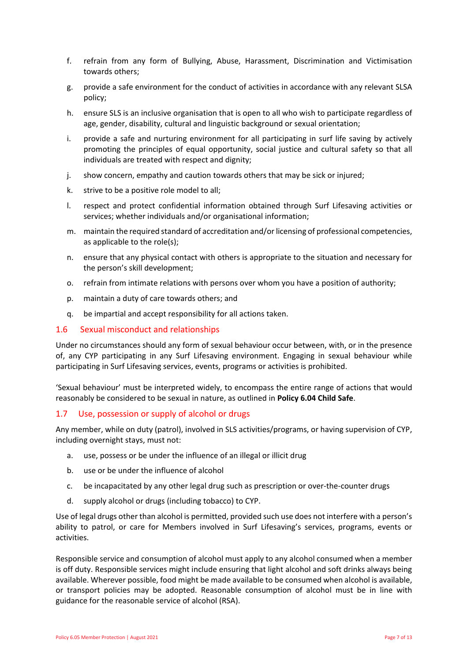- f. refrain from any form of Bullying, Abuse, Harassment, Discrimination and Victimisation towards others;
- g. provide a safe environment for the conduct of activities in accordance with any relevant SLSA policy;
- h. ensure SLS is an inclusive organisation that is open to all who wish to participate regardless of age, gender, disability, cultural and linguistic background or sexual orientation;
- i. provide a safe and nurturing environment for all participating in surf life saving by actively promoting the principles of equal opportunity, social justice and cultural safety so that all individuals are treated with respect and dignity;
- j. show concern, empathy and caution towards others that may be sick or injured;
- k. strive to be a positive role model to all;
- l. respect and protect confidential information obtained through Surf Lifesaving activities or services; whether individuals and/or organisational information;
- m. maintain the required standard of accreditation and/or licensing of professional competencies, as applicable to the role(s);
- n. ensure that any physical contact with others is appropriate to the situation and necessary for the person's skill development;
- o. refrain from intimate relations with persons over whom you have a position of authority;
- p. maintain a duty of care towards others; and
- <span id="page-6-0"></span>q. be impartial and accept responsibility for all actions taken.

#### 1.6 Sexual misconduct and relationships

Under no circumstances should any form of sexual behaviour occur between, with, or in the presence of, any CYP participating in any Surf Lifesaving environment. Engaging in sexual behaviour while participating in Surf Lifesaving services, events, programs or activities is prohibited.

'Sexual behaviour' must be interpreted widely, to encompass the entire range of actions that would reasonably be considered to be sexual in nature, as outlined in **Policy 6.04 Child Safe**.

#### <span id="page-6-1"></span>1.7 Use, possession or supply of alcohol or drugs

Any member, while on duty (patrol), involved in SLS activities/programs, or having supervision of CYP, including overnight stays, must not:

- a. use, possess or be under the influence of an illegal or illicit drug
- b. use or be under the influence of alcohol
- c. be incapacitated by any other legal drug such as prescription or over-the-counter drugs
- d. supply alcohol or drugs (including tobacco) to CYP.

Use of legal drugs other than alcohol is permitted, provided such use does not interfere with a person's ability to patrol, or care for Members involved in Surf Lifesaving's services, programs, events or activities.

Responsible service and consumption of alcohol must apply to any alcohol consumed when a member is off duty. Responsible services might include ensuring that light alcohol and soft drinks always being available. Wherever possible, food might be made available to be consumed when alcohol is available, or transport policies may be adopted. Reasonable consumption of alcohol must be in line with guidance for the reasonable service of alcohol (RSA).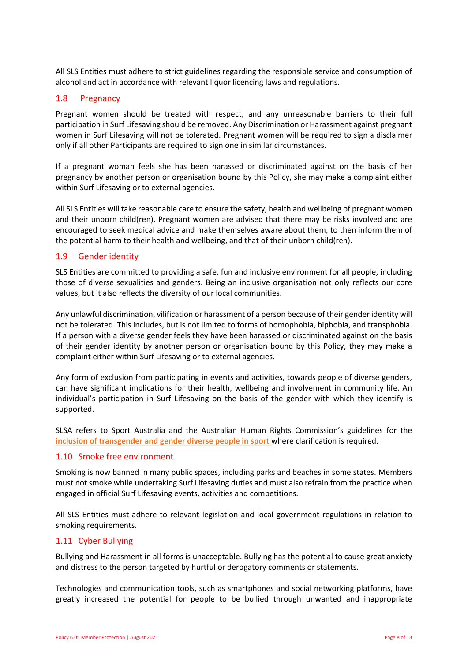All SLS Entities must adhere to strict guidelines regarding the responsible service and consumption of alcohol and act in accordance with relevant liquor licencing laws and regulations.

## <span id="page-7-0"></span>1.8 Pregnancy

Pregnant women should be treated with respect, and any unreasonable barriers to their full participation in Surf Lifesaving should be removed. Any Discrimination or Harassment against pregnant women in Surf Lifesaving will not be tolerated. Pregnant women will be required to sign a disclaimer only if all other Participants are required to sign one in similar circumstances.

If a pregnant woman feels she has been harassed or discriminated against on the basis of her pregnancy by another person or organisation bound by this Policy, she may make a complaint either within Surf Lifesaving or to external agencies.

All SLS Entities will take reasonable care to ensure the safety, health and wellbeing of pregnant women and their unborn child(ren). Pregnant women are advised that there may be risks involved and are encouraged to seek medical advice and make themselves aware about them, to then inform them of the potential harm to their health and wellbeing, and that of their unborn child(ren).

## <span id="page-7-1"></span>1.9 Gender identity

SLS Entities are committed to providing a safe, fun and inclusive environment for all people, including those of diverse sexualities and genders. Being an inclusive organisation not only reflects our core values, but it also reflects the diversity of our local communities.

Any unlawful discrimination, vilification or harassment of a person because of their gender identity will not be tolerated. This includes, but is not limited to forms of homophobia, biphobia, and transphobia. If a person with a diverse gender feels they have been harassed or discriminated against on the basis of their gender identity by another person or organisation bound by this Policy, they may make a complaint either within Surf Lifesaving or to external agencies.

Any form of exclusion from participating in events and activities, towards people of diverse genders, can have significant implications for their health, wellbeing and involvement in community life. An individual's participation in Surf Lifesaving on the basis of the gender with which they identify is supported.

SLSA refers to Sport Australia and the Australian Human Rights Commission's guidelines for the **[inclusion of transgender and gender diverse people in sport](http://www.sportaus.gov.au/__data/assets/pdf_file/0008/706184/Trans_and_Gender_Diverse_Guidelines_2019.pdf)** where clarification is required.

#### <span id="page-7-2"></span>1.10 Smoke free environment

Smoking is now banned in many public spaces, including parks and beaches in some states. Members must not smoke while undertaking Surf Lifesaving duties and must also refrain from the practice when engaged in official Surf Lifesaving events, activities and competitions.

All SLS Entities must adhere to relevant legislation and local government regulations in relation to smoking requirements.

#### <span id="page-7-3"></span>1.11 Cyber Bullying

Bullying and Harassment in all forms is unacceptable. Bullying has the potential to cause great anxiety and distress to the person targeted by hurtful or derogatory comments or statements.

Technologies and communication tools, such as smartphones and social networking platforms, have greatly increased the potential for people to be bullied through unwanted and inappropriate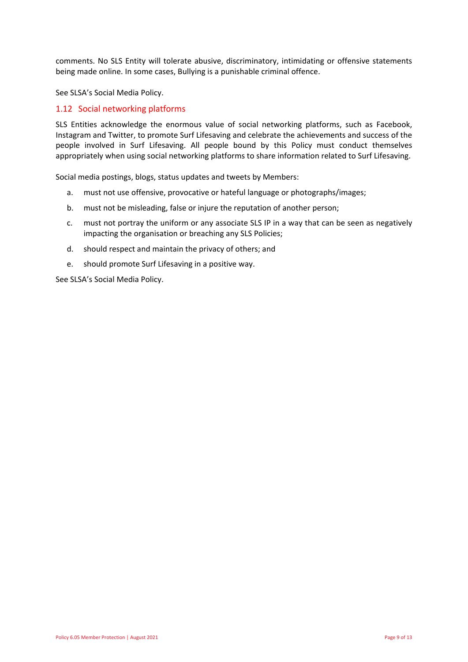comments. No SLS Entity will tolerate abusive, discriminatory, intimidating or offensive statements being made online. In some cases, Bullying is a punishable criminal offence.

See SLSA's Social Media Policy.

## <span id="page-8-0"></span>1.12 Social networking platforms

SLS Entities acknowledge the enormous value of social networking platforms, such as Facebook, Instagram and Twitter, to promote Surf Lifesaving and celebrate the achievements and success of the people involved in Surf Lifesaving. All people bound by this Policy must conduct themselves appropriately when using social networking platforms to share information related to Surf Lifesaving.

Social media postings, blogs, status updates and tweets by Members:

- a. must not use offensive, provocative or hateful language or photographs/images;
- b. must not be misleading, false or injure the reputation of another person;
- c. must not portray the uniform or any associate SLS IP in a way that can be seen as negatively impacting the organisation or breaching any SLS Policies;
- d. should respect and maintain the privacy of others; and
- e. should promote Surf Lifesaving in a positive way.

See SLSA's Social Media Policy.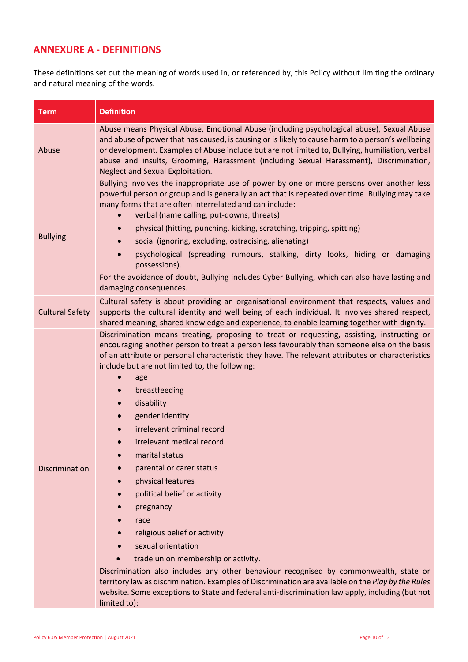## <span id="page-9-0"></span>**ANNEXURE A - DEFINITIONS**

These definitions set out the meaning of words used in, or referenced by, this Policy without limiting the ordinary and natural meaning of the words.

| <b>Term</b>            | <b>Definition</b>                                                                                                                                                                                                                                                                                                                                                                                                                                                                                                                                                                                                                                                                                                                                                                                                                                                                                                                                                                                          |  |
|------------------------|------------------------------------------------------------------------------------------------------------------------------------------------------------------------------------------------------------------------------------------------------------------------------------------------------------------------------------------------------------------------------------------------------------------------------------------------------------------------------------------------------------------------------------------------------------------------------------------------------------------------------------------------------------------------------------------------------------------------------------------------------------------------------------------------------------------------------------------------------------------------------------------------------------------------------------------------------------------------------------------------------------|--|
| Abuse                  | Abuse means Physical Abuse, Emotional Abuse (including psychological abuse), Sexual Abuse<br>and abuse of power that has caused, is causing or is likely to cause harm to a person's wellbeing<br>or development. Examples of Abuse include but are not limited to, Bullying, humiliation, verbal<br>abuse and insults, Grooming, Harassment (including Sexual Harassment), Discrimination,<br>Neglect and Sexual Exploitation.                                                                                                                                                                                                                                                                                                                                                                                                                                                                                                                                                                            |  |
| <b>Bullying</b>        | Bullying involves the inappropriate use of power by one or more persons over another less<br>powerful person or group and is generally an act that is repeated over time. Bullying may take<br>many forms that are often interrelated and can include:<br>verbal (name calling, put-downs, threats)<br>physical (hitting, punching, kicking, scratching, tripping, spitting)<br>social (ignoring, excluding, ostracising, alienating)<br>$\bullet$<br>psychological (spreading rumours, stalking, dirty looks, hiding or damaging<br>possessions).<br>For the avoidance of doubt, Bullying includes Cyber Bullying, which can also have lasting and<br>damaging consequences.                                                                                                                                                                                                                                                                                                                              |  |
| <b>Cultural Safety</b> | Cultural safety is about providing an organisational environment that respects, values and<br>supports the cultural identity and well being of each individual. It involves shared respect,<br>shared meaning, shared knowledge and experience, to enable learning together with dignity.                                                                                                                                                                                                                                                                                                                                                                                                                                                                                                                                                                                                                                                                                                                  |  |
| Discrimination         | Discrimination means treating, proposing to treat or requesting, assisting, instructing or<br>encouraging another person to treat a person less favourably than someone else on the basis<br>of an attribute or personal characteristic they have. The relevant attributes or characteristics<br>include but are not limited to, the following:<br>age<br>breastfeeding<br>disability<br>gender identity<br>irrelevant criminal record<br>irrelevant medical record<br>marital status<br>parental or carer status<br>physical features<br>political belief or activity<br>pregnancy<br>race<br>religious belief or activity<br>sexual orientation<br>trade union membership or activity.<br>Discrimination also includes any other behaviour recognised by commonwealth, state or<br>territory law as discrimination. Examples of Discrimination are available on the Play by the Rules<br>website. Some exceptions to State and federal anti-discrimination law apply, including (but not<br>limited to): |  |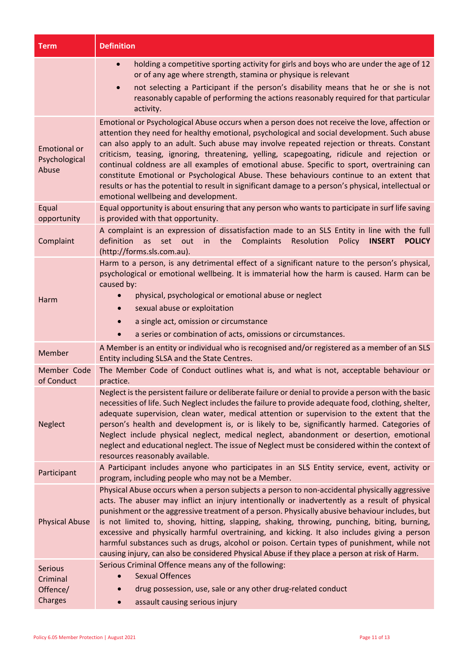| <b>Term</b>                                   | <b>Definition</b>                                                                                                                                                                                                                                                                                                                                                                                                                                                                                                                                                                                                                                                                                                                    |
|-----------------------------------------------|--------------------------------------------------------------------------------------------------------------------------------------------------------------------------------------------------------------------------------------------------------------------------------------------------------------------------------------------------------------------------------------------------------------------------------------------------------------------------------------------------------------------------------------------------------------------------------------------------------------------------------------------------------------------------------------------------------------------------------------|
|                                               | holding a competitive sporting activity for girls and boys who are under the age of 12<br>$\bullet$<br>or of any age where strength, stamina or physique is relevant                                                                                                                                                                                                                                                                                                                                                                                                                                                                                                                                                                 |
|                                               | not selecting a Participant if the person's disability means that he or she is not<br>$\bullet$<br>reasonably capable of performing the actions reasonably required for that particular<br>activity.                                                                                                                                                                                                                                                                                                                                                                                                                                                                                                                                 |
| <b>Emotional or</b><br>Psychological<br>Abuse | Emotional or Psychological Abuse occurs when a person does not receive the love, affection or<br>attention they need for healthy emotional, psychological and social development. Such abuse<br>can also apply to an adult. Such abuse may involve repeated rejection or threats. Constant<br>criticism, teasing, ignoring, threatening, yelling, scapegoating, ridicule and rejection or<br>continual coldness are all examples of emotional abuse. Specific to sport, overtraining can<br>constitute Emotional or Psychological Abuse. These behaviours continue to an extent that<br>results or has the potential to result in significant damage to a person's physical, intellectual or<br>emotional wellbeing and development. |
| Equal<br>opportunity                          | Equal opportunity is about ensuring that any person who wants to participate in surf life saving<br>is provided with that opportunity.                                                                                                                                                                                                                                                                                                                                                                                                                                                                                                                                                                                               |
| Complaint                                     | A complaint is an expression of dissatisfaction made to an SLS Entity in line with the full<br>as set out in the<br>Complaints<br>Policy<br>definition<br>Resolution<br><b>INSERT</b><br><b>POLICY</b><br>(http://forms.sls.com.au).                                                                                                                                                                                                                                                                                                                                                                                                                                                                                                 |
| Harm                                          | Harm to a person, is any detrimental effect of a significant nature to the person's physical,<br>psychological or emotional wellbeing. It is immaterial how the harm is caused. Harm can be<br>caused by:<br>physical, psychological or emotional abuse or neglect<br>sexual abuse or exploitation<br>$\bullet$<br>a single act, omission or circumstance<br>a series or combination of acts, omissions or circumstances.                                                                                                                                                                                                                                                                                                            |
| Member                                        | A Member is an entity or individual who is recognised and/or registered as a member of an SLS<br>Entity including SLSA and the State Centres.                                                                                                                                                                                                                                                                                                                                                                                                                                                                                                                                                                                        |
| Member Code<br>of Conduct                     | The Member Code of Conduct outlines what is, and what is not, acceptable behaviour or<br>practice.                                                                                                                                                                                                                                                                                                                                                                                                                                                                                                                                                                                                                                   |
| <b>Neglect</b>                                | Neglect is the persistent failure or deliberate failure or denial to provide a person with the basic<br>necessities of life. Such Neglect includes the failure to provide adequate food, clothing, shelter,<br>adequate supervision, clean water, medical attention or supervision to the extent that the<br>person's health and development is, or is likely to be, significantly harmed. Categories of<br>Neglect include physical neglect, medical neglect, abandonment or desertion, emotional<br>neglect and educational neglect. The issue of Neglect must be considered within the context of<br>resources reasonably available.                                                                                              |
| Participant                                   | A Participant includes anyone who participates in an SLS Entity service, event, activity or<br>program, including people who may not be a Member.                                                                                                                                                                                                                                                                                                                                                                                                                                                                                                                                                                                    |
| <b>Physical Abuse</b>                         | Physical Abuse occurs when a person subjects a person to non-accidental physically aggressive<br>acts. The abuser may inflict an injury intentionally or inadvertently as a result of physical<br>punishment or the aggressive treatment of a person. Physically abusive behaviour includes, but<br>is not limited to, shoving, hitting, slapping, shaking, throwing, punching, biting, burning,<br>excessive and physically harmful overtraining, and kicking. It also includes giving a person<br>harmful substances such as drugs, alcohol or poison. Certain types of punishment, while not<br>causing injury, can also be considered Physical Abuse if they place a person at risk of Harm.                                     |
| <b>Serious</b><br>Criminal                    | Serious Criminal Offence means any of the following:<br><b>Sexual Offences</b>                                                                                                                                                                                                                                                                                                                                                                                                                                                                                                                                                                                                                                                       |
| Offence/<br>Charges                           | drug possession, use, sale or any other drug-related conduct<br>assault causing serious injury                                                                                                                                                                                                                                                                                                                                                                                                                                                                                                                                                                                                                                       |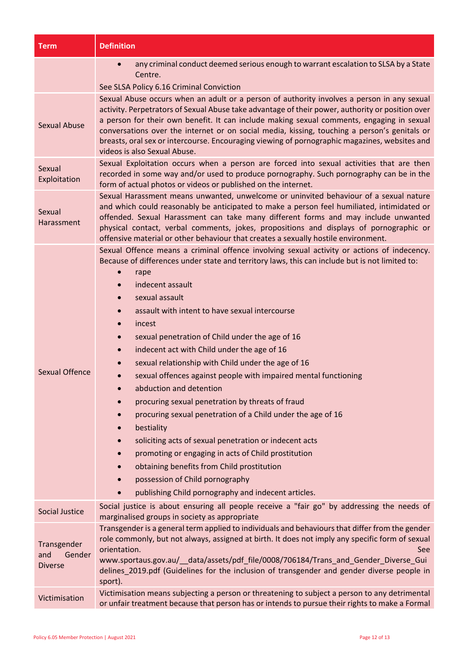| Term                                           | <b>Definition</b>                                                                                                                                                                                                                                                                                                                                                                                                                                                                                                                                                                                                                                                                                                                                                                                                                                                                                                                                                                                                                    |  |
|------------------------------------------------|--------------------------------------------------------------------------------------------------------------------------------------------------------------------------------------------------------------------------------------------------------------------------------------------------------------------------------------------------------------------------------------------------------------------------------------------------------------------------------------------------------------------------------------------------------------------------------------------------------------------------------------------------------------------------------------------------------------------------------------------------------------------------------------------------------------------------------------------------------------------------------------------------------------------------------------------------------------------------------------------------------------------------------------|--|
|                                                | any criminal conduct deemed serious enough to warrant escalation to SLSA by a State<br>Centre.<br>See SLSA Policy 6.16 Criminal Conviction                                                                                                                                                                                                                                                                                                                                                                                                                                                                                                                                                                                                                                                                                                                                                                                                                                                                                           |  |
| <b>Sexual Abuse</b>                            | Sexual Abuse occurs when an adult or a person of authority involves a person in any sexual<br>activity. Perpetrators of Sexual Abuse take advantage of their power, authority or position over<br>a person for their own benefit. It can include making sexual comments, engaging in sexual<br>conversations over the internet or on social media, kissing, touching a person's genitals or<br>breasts, oral sex or intercourse. Encouraging viewing of pornographic magazines, websites and<br>videos is also Sexual Abuse.                                                                                                                                                                                                                                                                                                                                                                                                                                                                                                         |  |
| Sexual<br>Exploitation                         | Sexual Exploitation occurs when a person are forced into sexual activities that are then<br>recorded in some way and/or used to produce pornography. Such pornography can be in the<br>form of actual photos or videos or published on the internet.                                                                                                                                                                                                                                                                                                                                                                                                                                                                                                                                                                                                                                                                                                                                                                                 |  |
| Sexual<br>Harassment                           | Sexual Harassment means unwanted, unwelcome or uninvited behaviour of a sexual nature<br>and which could reasonably be anticipated to make a person feel humiliated, intimidated or<br>offended. Sexual Harassment can take many different forms and may include unwanted<br>physical contact, verbal comments, jokes, propositions and displays of pornographic or<br>offensive material or other behaviour that creates a sexually hostile environment.                                                                                                                                                                                                                                                                                                                                                                                                                                                                                                                                                                            |  |
| <b>Sexual Offence</b>                          | Sexual Offence means a criminal offence involving sexual activity or actions of indecency.<br>Because of differences under state and territory laws, this can include but is not limited to:<br>rape<br>indecent assault<br>$\bullet$<br>sexual assault<br>assault with intent to have sexual intercourse<br>incest<br>sexual penetration of Child under the age of 16<br>$\bullet$<br>indecent act with Child under the age of 16<br>$\bullet$<br>sexual relationship with Child under the age of 16<br>sexual offences against people with impaired mental functioning<br>abduction and detention<br>procuring sexual penetration by threats of fraud<br>$\bullet$<br>procuring sexual penetration of a Child under the age of 16<br>bestiality<br>soliciting acts of sexual penetration or indecent acts<br>$\bullet$<br>promoting or engaging in acts of Child prostitution<br>obtaining benefits from Child prostitution<br>possession of Child pornography<br>publishing Child pornography and indecent articles.<br>$\bullet$ |  |
| <b>Social Justice</b>                          | Social justice is about ensuring all people receive a "fair go" by addressing the needs of<br>marginalised groups in society as appropriate                                                                                                                                                                                                                                                                                                                                                                                                                                                                                                                                                                                                                                                                                                                                                                                                                                                                                          |  |
| Transgender<br>Gender<br>and<br><b>Diverse</b> | Transgender is a general term applied to individuals and behaviours that differ from the gender<br>role commonly, but not always, assigned at birth. It does not imply any specific form of sexual<br>orientation.<br><b>See</b><br>www.sportaus.gov.au/ data/assets/pdf file/0008/706184/Trans and Gender Diverse Gui<br>delines_2019.pdf (Guidelines for the inclusion of transgender and gender diverse people in<br>sport).                                                                                                                                                                                                                                                                                                                                                                                                                                                                                                                                                                                                      |  |
| Victimisation                                  | Victimisation means subjecting a person or threatening to subject a person to any detrimental<br>or unfair treatment because that person has or intends to pursue their rights to make a Formal                                                                                                                                                                                                                                                                                                                                                                                                                                                                                                                                                                                                                                                                                                                                                                                                                                      |  |